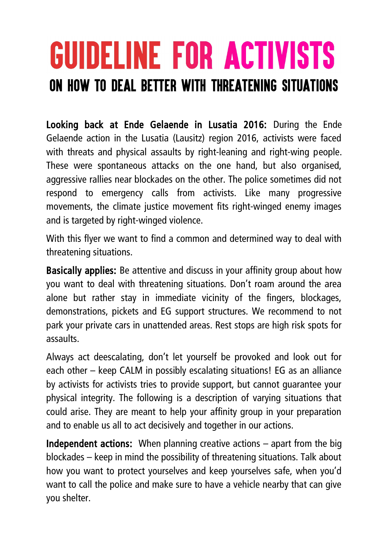## **GUIDELINE FOR ACTIVISTS** on how to deal better with threatening situations

Looking back at Ende Gelaende in Lusatia 2016: During the Ende Gelaende action in the Lusatia (Lausitz) region 2016, activists were faced with threats and physical assaults by right-leaning and right-wing people. These were spontaneous attacks on the one hand, but also organised, aggressive rallies near blockades on the other. The police sometimes did not respond to emergency calls from activists. Like many progressive movements, the climate justice movement fits right-winged enemy images and is targeted by right-winged violence.

With this flyer we want to find a common and determined way to deal with threatening situations.

Basically applies: Be attentive and discuss in your affinity group about how you want to deal with threatening situations. Don't roam around the area alone but rather stay in immediate vicinity of the fingers, blockages, demonstrations, pickets and EG support structures. We recommend to not park your private cars in unattended areas. Rest stops are high risk spots for assaults.

Always act deescalating, don't let yourself be provoked and look out for each other – keep CALM in possibly escalating situations! EG as an alliance by activists for activists tries to provide support, but cannot guarantee your physical integrity. The following is a description of varying situations that could arise. They are meant to help your affinity group in your preparation and to enable us all to act decisively and together in our actions.

Independent actions: When planning creative actions – apart from the big blockades – keep in mind the possibility of threatening situations. Talk about how you want to protect yourselves and keep yourselves safe, when you'd want to call the police and make sure to have a vehicle nearby that can give you shelter.